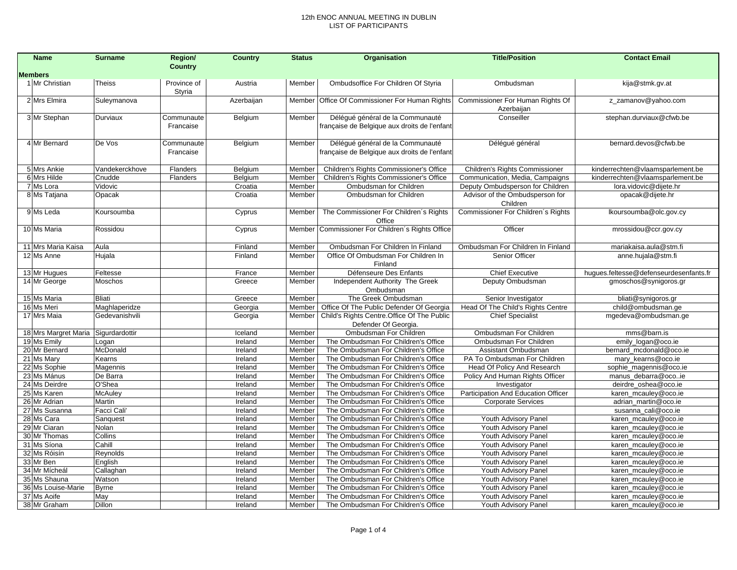| <b>Name</b>                         | <b>Surname</b>         | Region/        | <b>Country</b>     | <b>Status</b>    | Organisation                                                               | <b>Title/Position</b>                                          | <b>Contact Email</b>                         |
|-------------------------------------|------------------------|----------------|--------------------|------------------|----------------------------------------------------------------------------|----------------------------------------------------------------|----------------------------------------------|
| <b>Members</b>                      |                        | <b>Country</b> |                    |                  |                                                                            |                                                                |                                              |
| 1 Mr Christian                      | <b>Theiss</b>          | Province of    | Austria            | Member           | Ombudsoffice For Children Of Styria                                        | Ombudsman                                                      | kija@stmk.gv.at                              |
|                                     |                        | Styria         |                    |                  |                                                                            |                                                                |                                              |
| 2 Mrs Elmira                        | Suleymanova            |                | Azerbaijan         |                  | Member   Office Of Commissioner For Human Rights                           | Commissioner For Human Rights Of                               | z_zamanov@yahoo.com                          |
|                                     |                        |                |                    |                  |                                                                            | Azerbaijan                                                     |                                              |
| 3 Mr Stephan                        | Durviaux               | Communaute     | Belgium            | Member           | Délégué général de la Communauté                                           | Conseiller                                                     | stephan.durviaux@cfwb.be                     |
|                                     |                        | Francaise      |                    |                  | française de Belgique aux droits de l'enfant                               |                                                                |                                              |
|                                     |                        |                |                    |                  |                                                                            |                                                                |                                              |
| 4 Mr Bernard                        | De Vos                 | Communaute     | Belgium            | Member           | Délégué général de la Communauté                                           | Délégué général                                                | bernard.devos@cfwb.be                        |
|                                     |                        | Francaise      |                    |                  | française de Belgique aux droits de l'enfant                               |                                                                |                                              |
| 5 Mrs Ankie                         | Vandekerckhove         | Flanders       | Belgium            | Member           | Children's Rights Commissioner's Office                                    | Children's Rights Commissioner                                 | kinderrechten@vlaamsparlement.be             |
| 6 Mrs Hilde                         | Cnudde                 | Flanders       | Belgium            | Member           | Children's Rights Commissioner's Office                                    | Communication, Media, Campaigns                                | kinderrechten@vlaamsparlement.be             |
| 7 Ms Lora                           | Vidovic                |                | Croatia            | Member           | Ombudsman for Children                                                     | Deputy Ombudsperson for Children                               | lora.vidovic@dijete.hr                       |
| 8 Ms Tatjana                        | Opacak                 |                | Croatia            | Member           | Ombudsman for Children                                                     | Advisor of the Ombudsperson for                                | opacak@dijete.hr                             |
|                                     |                        |                |                    |                  |                                                                            | Children                                                       |                                              |
| 9 Ms Leda                           | Koursoumba             |                | Cyprus             | Member           | The Commissioner For Children's Rights                                     | Commissioner For Children's Rights                             | Ikoursoumba@olc.gov.cy                       |
|                                     |                        |                |                    |                  | Office                                                                     |                                                                |                                              |
| 10 Ms Maria                         | Rossidou               |                | Cyprus             | Member           | Commissioner For Children's Rights Office                                  | Officer                                                        | mrossidou@ccr.gov.cy                         |
|                                     |                        |                |                    |                  |                                                                            |                                                                |                                              |
| 11 Mrs Maria Kaisa                  | Aula                   |                | Finland            | Member           | Ombudsman For Children In Finland                                          | Ombudsman For Children In Finland                              | mariakaisa.aula@stm.fi                       |
| 12 Ms Anne                          | Hujala                 |                | Finland            | Member           | Office Of Ombudsman For Children In<br>Finland                             | Senior Officer                                                 | anne.hujala@stm.fi                           |
| 13 Mr Hugues                        | Feltesse               |                | France             | Member           | Défenseure Des Enfants                                                     | <b>Chief Executive</b>                                         | hugues.feltesse@defenseurdesenfants.fr       |
| 14 Mr George                        | Moschos                |                | Greece             | Member           | Independent Authority The Greek                                            | Deputy Ombudsman                                               | gmoschos@synigoros.gr                        |
|                                     |                        |                |                    |                  | Ombudsman                                                                  |                                                                |                                              |
| 15 Ms Maria                         | <b>Bliati</b>          |                | Greece             | Member           | The Greek Ombudsman                                                        | Senior Investigator                                            | bliati@synigoros.gr                          |
| 16 Ms Meri                          | Maghlaperidze          |                | Georgia            | Member           | Office Of The Public Defender Of Georgia                                   | Head Of The Child's Rights Centre                              | child@ombudsman.ge                           |
| 17 Mrs Maia                         | Gedevanishvili         |                | Georgia            | Member           | Child's Rights Centre. Office Of The Public                                | <b>Chief Specialist</b>                                        | mgedeva@ombudsman.ge                         |
|                                     |                        |                |                    |                  | Defender Of Georgia.                                                       |                                                                |                                              |
| 18 Mrs Margret Maria Sigurdardottir |                        |                | Iceland            | Member           | Ombudsman For Children                                                     | Ombudsman For Children                                         | mms@barn.is                                  |
| 19 Ms Emily                         | Logan                  |                | Ireland            | Member           | The Ombudsman For Children's Office                                        | Ombudsman For Children                                         | emily_logan@oco.ie                           |
| 20 Mr Bernard                       | McDonald               |                | Ireland            | Member           | The Ombudsman For Children's Office                                        | Assistant Ombudsman                                            | bernard mcdonald@oco.ie                      |
| 21 Ms Mary<br>22 Ms Sophie          | Kearns                 |                | Ireland            | Member           | The Ombudsman For Children's Office<br>The Ombudsman For Children's Office | PA To Ombudsman For Children                                   | mary kearns@oco.ie<br>sophie_magennis@oco.ie |
| 23 Ms Mánus                         | Magennis<br>De Barra   |                | Ireland<br>Ireland | Member<br>Member | The Ombudsman For Children's Office                                        | Head Of Policy And Research<br>Policy And Human Rights Officer | manus_debarra@ocoie                          |
| 24 Ms Deirdre                       | O'Shea                 |                | Ireland            | Member           | The Ombudsman For Children's Office                                        | Investigator                                                   | deirdre_oshea@oco.ie                         |
| 25 Ms Karen                         | McAuley                |                | Ireland            | Member           | The Ombudsman For Children's Office                                        | Participation And Education Officer                            | karen_mcauley@oco.ie                         |
| 26 Mr Adrian                        | Martin                 |                | Ireland            | Member           | The Ombudsman For Children's Office                                        | <b>Corporate Services</b>                                      | adrian_martin@oco.ie                         |
| 27 Ms Susanna                       | Facci Cali'            |                | Ireland            | Member           | The Ombudsman For Children's Office                                        |                                                                | susanna_cali@oco.ie                          |
| 28 Ms Cara                          | Sanquest               |                | Ireland            | Member           | The Ombudsman For Children's Office                                        | Youth Advisory Panel                                           | karen_mcauley@oco.ie                         |
| 29 Mr Ciaran                        | Nolan                  |                | Ireland            | Member           | The Ombudsman For Children's Office                                        | Youth Advisory Panel                                           | karen_mcauley@oco.ie                         |
| 30 Mr Thomas                        | Collins                |                | Ireland            | Member           | The Ombudsman For Children's Office                                        | Youth Advisory Panel                                           | karen_mcauley@oco.ie                         |
| 31 Ms Síona                         | Cahill                 |                | Ireland            | Member           | The Ombudsman For Children's Office                                        | Youth Advisory Panel                                           | karen_mcauley@oco.ie                         |
| 32 Ms Róisín                        | Reynolds               |                | Ireland            | Member           | The Ombudsman For Children's Office                                        | Youth Advisory Panel                                           | karen_mcauley@oco.ie                         |
| 33 Mr Ben                           | English                |                | Ireland            | Member           | The Ombudsman For Children's Office                                        | Youth Advisory Panel                                           | karen_mcauley@oco.ie                         |
| 34 Mr Mícheál                       | Callaghan              |                | Ireland            | Member           | The Ombudsman For Children's Office                                        | Youth Advisory Panel                                           | karen_mcauley@oco.ie                         |
| 35 Ms Shauna<br>36 Ms Louise-Marie  | Watson<br><b>Byrne</b> |                | Ireland<br>Ireland | Member<br>Member | The Ombudsman For Children's Office<br>The Ombudsman For Children's Office | Youth Advisory Panel<br>Youth Advisory Panel                   | karen_mcauley@oco.ie<br>karen_mcauley@oco.ie |
| 37 Ms Aoife                         | May                    |                | Ireland            | Member           | The Ombudsman For Children's Office                                        | Youth Advisory Panel                                           | karen_mcauley@oco.ie                         |
| 38 Mr Graham                        | Dillon                 |                | Ireland            | Member           | The Ombudsman For Children's Office                                        | Youth Advisory Panel                                           | karen_mcauley@oco.ie                         |
|                                     |                        |                |                    |                  |                                                                            |                                                                |                                              |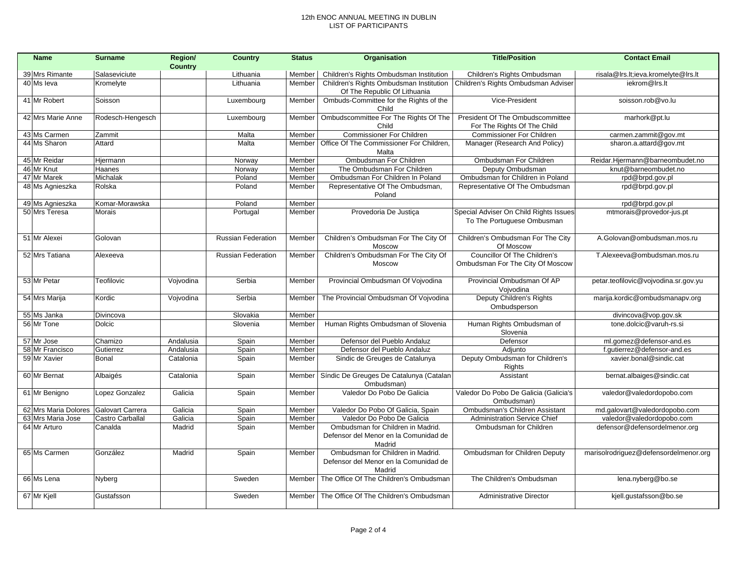| <b>Name</b>          | <b>Surname</b>          | Region/        | <b>Country</b>            | <b>Status</b> | Organisation                                                                         | <b>Title/Position</b>                                                | <b>Contact Email</b>                  |
|----------------------|-------------------------|----------------|---------------------------|---------------|--------------------------------------------------------------------------------------|----------------------------------------------------------------------|---------------------------------------|
|                      |                         | <b>Country</b> |                           |               |                                                                                      |                                                                      |                                       |
| 39 Mrs Rimante       | Salaseviciute           |                | Lithuania                 | Member        | Children's Rights Ombudsman Institution                                              | Children's Rights Ombudsman                                          | risala@Irs.It;ieva.kromelyte@Irs.It   |
| 40 Ms leva           | Kromelyte               |                | Lithuania                 | Member        | Children's Rights Ombudsman Institution<br>Of The Republic Of Lithuania              | Children's Rights Ombudsman Adviser                                  | iekrom@lrs.lt                         |
| 41 Mr Robert         | Soisson                 |                | Luxembourg                | Member        | Ombuds-Committee for the Rights of the<br>Child                                      | Vice-President                                                       | soisson.rob@vo.lu                     |
| 42 Mrs Marie Anne    | Rodesch-Hengesch        |                | Luxembourg                | Member        | Ombudscommittee For The Rights Of The                                                | President Of The Ombudscommittee                                     | marhork@pt.lu                         |
|                      |                         |                |                           |               | Child                                                                                | For The Rights Of The Child                                          |                                       |
| 43 Ms Carmen         | Zammit                  |                | Malta                     | Member        | Commissioner For Children                                                            | <b>Commissioner For Children</b>                                     | carmen.zammit@gov.mt                  |
| 44 Ms Sharon         | Attard                  |                | Malta                     | Member        | Office Of The Commissioner For Children,                                             | Manager (Research And Policy)                                        | sharon.a.attard@gov.mt                |
|                      |                         |                |                           |               | Malta                                                                                |                                                                      | Reidar.Hjermann@barneombudet.no       |
| 45 Mr Reidar         | Hjermann                |                | Norway                    | Member        | Ombudsman For Children                                                               | Ombudsman For Children                                               |                                       |
| 46 Mr Knut           | Haanes                  |                | Norway                    | Member        | The Ombudsman For Children                                                           | Deputy Ombudsman                                                     | knut@barneombudet.no                  |
| 47 Mr Marek          | Michalak                |                | Poland                    | Member        | Ombudsman For Children In Poland                                                     | Ombudsman for Children in Poland                                     | rpd@brpd.gov.pl                       |
| 48 Ms Agnieszka      | Rolska                  |                | Poland                    | Member        | Representative Of The Ombudsman,<br>Poland                                           | Representative Of The Ombudsman                                      | rpd@brpd.gov.pl                       |
| 49 Ms Agnieszka      | Komar-Morawska          |                | Poland                    | Member        |                                                                                      |                                                                      | rpd@brpd.gov.pl                       |
| 50 Mrs Teresa        | Morais                  |                | Portugal                  | Member        | Provedoria De Justiça                                                                | Special Adviser On Child Rights Issues<br>To The Portuguese Ombusman | mtmorais@provedor-jus.pt              |
| 51 Mr Alexei         | Golovan                 |                | <b>Russian Federation</b> | Member        | Children's Ombudsman For The City Of<br>Moscow                                       | Children's Ombudsman For The City<br>Of Moscow                       | A.Golovan@ombudsman.mos.ru            |
| 52 Mrs Tatiana       | Alexeeva                |                | <b>Russian Federation</b> | Member        | Children's Ombudsman For The City Of                                                 | Councillor Of The Children's                                         | T.Alexeeva@ombudsman.mos.ru           |
|                      |                         |                |                           |               | Moscow                                                                               | Ombudsman For The City Of Moscow                                     |                                       |
| 53 Mr Petar          | Teofilovic              | Vojvodina      | Serbia                    | Member        | Provincial Ombudsman Of Vojvodina                                                    | Provincial Ombudsman Of AP<br>Voivodina                              | petar.teofilovic@vojvodina.sr.gov.yu  |
| 54 Mrs Marija        | Kordic                  | Vojvodina      | Serbia                    | Member        | The Provincial Ombudsman Of Vojvodina                                                | Deputy Children's Rights<br>Ombudsperson                             | marija.kordic@ombudsmanapv.org        |
| 55 Ms Janka          | Divincova               |                | Slovakia                  | Member        |                                                                                      |                                                                      | divincova@vop.gov.sk                  |
| 56 Mr Tone           | <b>Dolcic</b>           |                | Slovenia                  | Member        | Human Rights Ombudsman of Slovenia                                                   | Human Rights Ombudsman of<br>Slovenia                                | tone.dolcic@varuh-rs.si               |
| 57 Mr Jose           | Chamizo                 | Andalusia      | Spain                     | Member        | Defensor del Pueblo Andaluz                                                          | Defensor                                                             | ml.gomez@defensor-and.es              |
| 58 Mr Francisco      | Gutierrez               | Andalusia      | Spain                     | Member        | Defensor del Pueblo Andaluz                                                          | Adjunto                                                              | f.gutierrez@defensor-and.es           |
| 59 Mr Xavier         | Bonal                   | Catalonia      | Spain                     | Member        | Sindic de Greuges de Catalunya                                                       | Deputy Ombudsman for Children's<br>Rights                            | xavier.bonal@sindic.cat               |
| 60 Mr Bernat         | Albaigés                | Catalonia      | Spain                     | Member        | Síndic De Greuges De Catalunya (Catalan<br>Ombudsman)                                | Assistant                                                            | bernat.albaiges@sindic.cat            |
| 61 Mr Benigno        | Lopez Gonzalez          | Galicia        | Spain                     | Member        | Valedor Do Pobo De Galicia                                                           | Valedor Do Pobo De Galicia (Galicia's<br>Ombudsman)                  | valedor@valedordopobo.com             |
| 62 Mrs Maria Dolores | <b>Galovart Carrera</b> | Galicia        | Spain                     | Member        | Valedor Do Pobo Of Galicia, Spain                                                    | Ombudsman's Children Assistant                                       | md.galovart@valedordopobo.com         |
| 63 Mrs Maria Jose    | Castro Carballal        | Galicia        | Spain                     | Member        | Valedor Do Pobo De Galicia                                                           | <b>Administration Service Chief</b>                                  | valedor@valedordopobo.com             |
| 64 Mr Arturo         | Canalda                 | Madrid         | Spain                     | Member        | Ombudsman for Children in Madrid.<br>Defensor del Menor en la Comunidad de<br>Madrid | Ombudsman for Children                                               | defensor@defensordelmenor.org         |
| 65 Ms Carmen         | González                | Madrid         | Spain                     | Member        | Ombudsman for Children in Madrid.<br>Defensor del Menor en la Comunidad de<br>Madrid | Ombudsman for Children Deputy                                        | marisolrodriguez@defensordelmenor.org |
| 66 Ms Lena           | Nyberg                  |                | Sweden                    | Member        | The Office Of The Children's Ombudsman                                               | The Children's Ombudsman                                             | lena.nyberg@bo.se                     |
| 67 Mr Kjell          | Gustafsson              |                | Sweden                    |               | Member The Office Of The Children's Ombudsman                                        | <b>Administrative Director</b>                                       | kjell.qustafsson@bo.se                |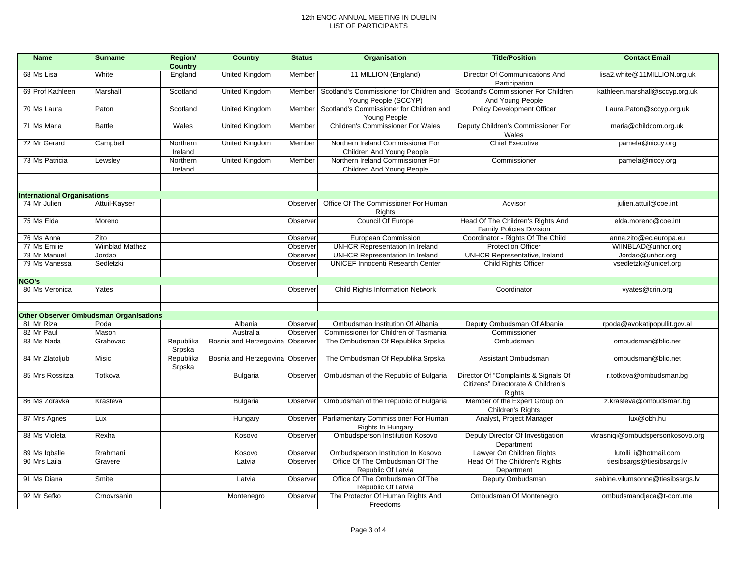|       | <b>Name</b>                        | <b>Surname</b>                                | Region/             | <b>Country</b>                  | <b>Status</b> | <b>Organisation</b>                                              | <b>Title/Position</b>                                                                | <b>Contact Email</b>             |
|-------|------------------------------------|-----------------------------------------------|---------------------|---------------------------------|---------------|------------------------------------------------------------------|--------------------------------------------------------------------------------------|----------------------------------|
|       |                                    |                                               | <b>Country</b>      |                                 |               |                                                                  |                                                                                      |                                  |
|       | 68 Ms Lisa                         | White                                         | England             | United Kingdom                  | Member        | 11 MILLION (England)                                             | Director Of Communications And<br>Participation                                      | lisa2.white@11MILLION.org.uk     |
|       | 69 Prof Kathleen                   | Marshall                                      | Scotland            | United Kingdom                  | Member        | Scotland's Commissioner for Children and<br>Young People (SCCYP) | Scotland's Commissioner For Children<br>And Young People                             | kathleen.marshall@sccyp.org.uk   |
|       | 70 Ms Laura                        | Paton                                         | Scotland            | <b>United Kingdom</b>           | Member        | Scotland's Commissioner for Children and<br>Young People         | Policy Development Officer                                                           | Laura.Paton@sccyp.org.uk         |
|       | 71 Ms Maria                        | <b>Battle</b>                                 | Wales               | United Kingdom                  | Member        | Children's Commissioner For Wales                                | Deputy Children's Commissioner For<br>Wales                                          | maria@childcom.org.uk            |
|       | 72 Mr Gerard                       | Campbell                                      | Northern<br>Ireland | United Kingdom                  | Member        | Northern Ireland Commissioner For<br>Children And Young People   | <b>Chief Executive</b>                                                               | pamela@niccy.org                 |
|       | 73 Ms Patricia                     | Lewsley                                       | Northern<br>Ireland | <b>United Kingdom</b>           | Member        | Northern Ireland Commissioner For<br>Children And Young People   | Commissioner                                                                         | pamela@niccy.org                 |
|       |                                    |                                               |                     |                                 |               |                                                                  |                                                                                      |                                  |
|       |                                    |                                               |                     |                                 |               |                                                                  |                                                                                      |                                  |
|       | <b>International Organisations</b> |                                               |                     |                                 |               |                                                                  |                                                                                      |                                  |
|       | 74 Mr Julien                       | Attuil-Kayser                                 |                     |                                 | Observer      | Office Of The Commissioner For Human<br>Rights                   | Advisor                                                                              | julien.attuil@coe.int            |
|       | 75 Ms Elda                         | Moreno                                        |                     |                                 | Observer      | Council Of Europe                                                | Head Of The Children's Rights And<br><b>Family Policies Division</b>                 | elda.moreno@coe.int              |
|       | 76 Ms Anna                         | Zito                                          |                     |                                 | Observer      | European Commission                                              | Coordinator - Rights Of The Child                                                    | anna.zito@ec.europa.eu           |
|       | 77 Ms Emilie                       | <b>Wiinblad Mathez</b>                        |                     |                                 | Observer      | <b>UNHCR Representation In Ireland</b>                           | <b>Protection Officer</b>                                                            | WIINBLAD@unhcr.org               |
|       | 78 Mr Manuel                       | Jordao                                        |                     |                                 | Observer      | <b>UNHCR Representation In Ireland</b>                           | <b>UNHCR Representative, Ireland</b>                                                 | Jordao@unhcr.org                 |
|       | 79 Ms Vanessa                      | Sedletzki                                     |                     |                                 | Observer      | <b>UNICEF Innocenti Research Center</b>                          | <b>Child Rights Officer</b>                                                          | vsedletzki@unicef.org            |
|       |                                    |                                               |                     |                                 |               |                                                                  |                                                                                      |                                  |
| NGO's |                                    |                                               |                     |                                 |               |                                                                  |                                                                                      |                                  |
|       | 80 Ms Veronica                     | Yates                                         |                     |                                 | Observer      | <b>Child Rights Information Network</b>                          | Coordinator                                                                          | vyates@crin.org                  |
|       |                                    |                                               |                     |                                 |               |                                                                  |                                                                                      |                                  |
|       |                                    |                                               |                     |                                 |               |                                                                  |                                                                                      |                                  |
|       |                                    | <b>Other Observer Ombudsman Organisations</b> |                     |                                 |               |                                                                  |                                                                                      |                                  |
|       | 81 Mr Riza                         | Poda                                          |                     | Albania                         | Observer      | Ombudsman Institution Of Albania                                 | Deputy Ombudsman Of Albania                                                          | rpoda@avokatipopullit.gov.al     |
|       | 82 Mr Paul                         | Mason                                         |                     | Australia                       | Observer      | Commissioner for Children of Tasmania                            | Commissioner                                                                         |                                  |
|       | 83 Ms Nada                         | Grahovac                                      | Republika<br>Srpska | Bosnia and Herzegovina Observer |               | The Ombudsman Of Republika Srpska                                | Ombudsman                                                                            | ombudsman@blic.net               |
|       | 84 Mr Zlatoljub                    | Misic                                         | Republika<br>Srpska | Bosnia and Herzegovina Observer |               | The Ombudsman Of Republika Srpska                                | Assistant Ombudsman                                                                  | ombudsman@blic.net               |
|       | 85 Mrs Rossitza                    | Totkova                                       |                     | <b>Bulgaria</b>                 | Observer      | Ombudsman of the Republic of Bulgaria                            | Director Of "Complaints & Signals Of<br>Citizens" Directorate & Children's<br>Rights | r.totkova@ombudsman.bg           |
|       | 86 Ms Zdravka                      | Krasteva                                      |                     | Bulgaria                        | Observer      | Ombudsman of the Republic of Bulgaria                            | Member of the Expert Group on<br>Children's Rights                                   | z.krasteva@ombudsman.bg          |
|       | 87 Mrs Agnes                       | Lux                                           |                     | Hungary                         | Observer      | Parliamentary Commissioner For Human<br>Rights In Hungary        | Analyst, Project Manager                                                             | lux@obh.hu                       |
|       | 88 Ms Violeta                      | Rexha                                         |                     | Kosovo                          | Observer      | Ombudsperson Institution Kosovo                                  | Deputy Director Of Investigation<br>Department                                       | vkrasniqi@ombudspersonkosovo.org |
|       | 89 Ms Igballe                      | Rrahmani                                      |                     | Kosovo                          | Observer      | Ombudsperson Institution In Kosovo                               | Lawyer On Children Rights                                                            | lutolli_i@hotmail.com            |
|       | 90 Mrs Laila                       | Gravere                                       |                     | Latvia                          | Observer      | Office Of The Ombudsman Of The<br>Republic Of Latvia             | <b>Head Of The Children's Rights</b><br>Department                                   | tiesibsargs@tiesibsargs.lv       |
|       | 91 Ms Diana                        | Smite                                         |                     | Latvia                          | Observer      | Office Of The Ombudsman Of The<br>Republic Of Latvia             | Deputy Ombudsman                                                                     | sabine.vilumsonne@tiesibsargs.lv |
|       | 92 Mr Sefko                        | Crnovrsanin                                   |                     | Montenegro                      | Observer      | The Protector Of Human Rights And<br>Freedoms                    | Ombudsman Of Montenegro                                                              | ombudsmandjeca@t-com.me          |